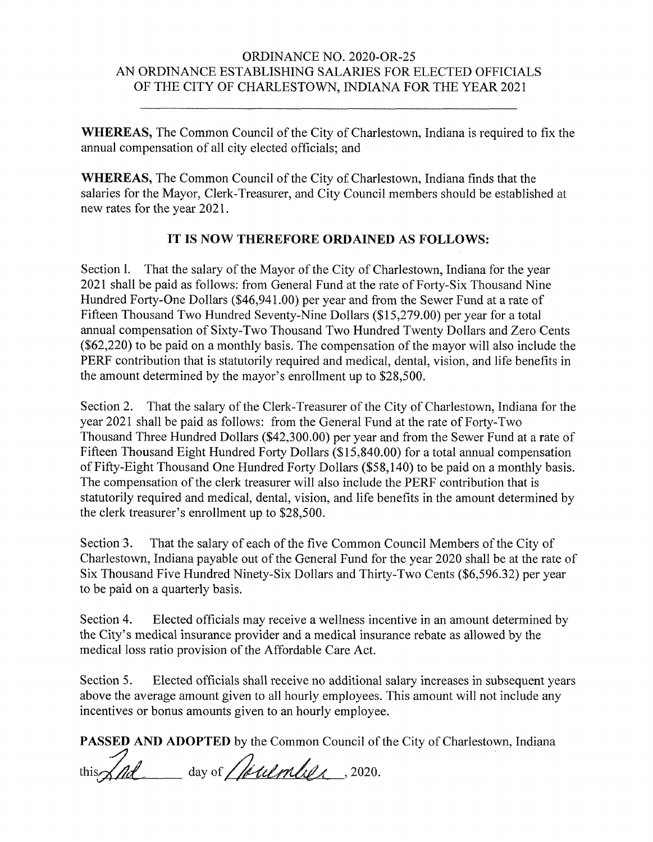## ORDINANCE NO. 2020-OR-25 AN ORDINANCE ESTABLISHING SALARIES FOR ELECTED OFFICIALS OF THE CITY OF CHARLESTOWN, INDIANA FOR THE YEAR 2021

WHEREAS, The Common Council of the City of Charlestown, Indiana is required to fix the annual compensation of all city elected officials; and

WHEREAS, The Common Council of the City of Charlestown, Indiana finds that the salaries for the Mayor, Clerk-Treasurer, and City Council members should be established at new rates for the year 2021.

## IT IS NOW THEREFORE ORDAINED AS FOLLOWS:

Section 1. That the salary of the Mayor of the City of Charlestown, Indiana for the year 2021 shall be paid as follows: from General Fund at the rate of Forty-Six Thousand Nine Hundred Forty-One Dollars (\$46,941.00) per year and from the Sewer Fund at a rate of Fifteen Thousand Two Hundred Seventy-Nine Dollars (\$15,279.00) per year for a total annual compensation of Sixty-Two Thousand Two Hundred Twenty Dollars and Zero Cents  $(\$62,220)$  to be paid on a monthly basis. The compensation of the mayor will also include the PERF contribution that is statutorily required and medical, dental, vision, and life benefits in the amount determined by the mayor's enrollment up to \$28,500.

Section 2. That the salary of the Clerk-Treasurer of the City of Charlestown, Indiana for the year 2021 shall be paid as follows: from the General Fund at the rate of Forty-Two Thousand Three Hundred Dollars (\$42,300.00) per year and from the Sewer Fund at a rate of Fifteen Thousand Eight Hundred Forty Dollars (\$15,840.00) for a total annual compensation of Fifty-Eight Thousand One Hundred Forty Dollars (\$58,140) to be paid on a monthly basis. The compensation of the clerk treasurer will also include the PERF contribution that is statutorily required and medical, dental, vision, and life benefits in the amount determined by the clerk treasurer's enrollment up to \$28,500.

Section 3. That the salary of each of the five Common Council Members of the City of Charlestown, Indiana payable out of the General Fund for the year 2020 shall be at the rate of Six Thousand Five Hundred Ninety-Six Dollars and Thirty-Two Cents (\$6,596.32) per yearto be paid on a quarterly basis.

Section 4. Elected officials may receive a wellness incentive in an amount determined by the City's medical insurance provider and a medical insurance rebate as allowed by the medical loss ratio provision of the Affordable Care Act.

Section 5. Elected officials shall receive no additional salary increases in subsequent years above the average amount given to all hourly employees. This amount will not include any incentives or bonus amounts given to an hourly employee.

PASSED AND ADOPTED by the Common Council of the City of Charlestown, Indiana

this  $\sqrt{nd}$  day of *Mulmber*, 2020.